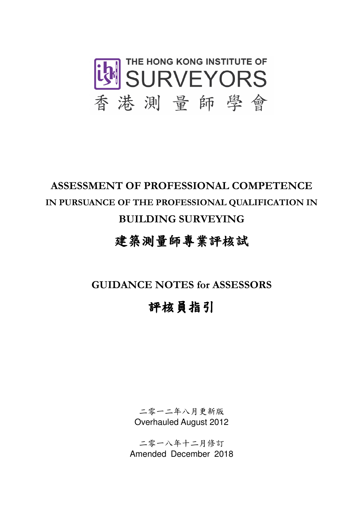

## ASSESSMENT OF PROFESSIONAL COMPETENCE IN PURSUANCE OF THE PROFESSIONAL QUALIFICATION IN BUILDING SURVEYING

### 建築測量師專業評核試

GUIDANCE NOTES for ASSESSORS

# 評核員指引

二零一二年八月更新版 Overhauled August 2012

二零一八年十二月修訂 Amended December 2018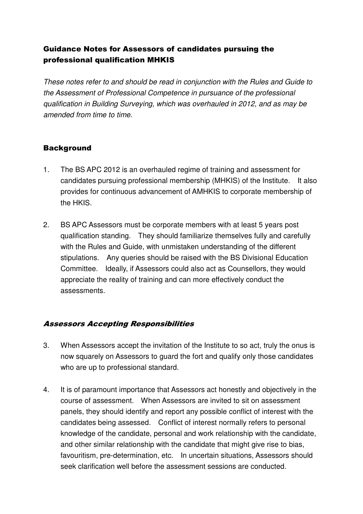#### Guidance Notes for Assessors of candidates pursuing the professional qualification MHKIS

These notes refer to and should be read in conjunction with the Rules and Guide to the Assessment of Professional Competence in pursuance of the professional qualification in Building Surveying, which was overhauled in 2012, and as may be amended from time to time.

#### **Background**

- 1. The BS APC 2012 is an overhauled regime of training and assessment for candidates pursuing professional membership (MHKIS) of the Institute. It also provides for continuous advancement of AMHKIS to corporate membership of the HKIS.
- 2. BS APC Assessors must be corporate members with at least 5 years post qualification standing. They should familiarize themselves fully and carefully with the Rules and Guide, with unmistaken understanding of the different stipulations. Any queries should be raised with the BS Divisional Education Committee. Ideally, if Assessors could also act as Counsellors, they would appreciate the reality of training and can more effectively conduct the assessments.

#### Assessors Accepting Responsibilities

- 3. When Assessors accept the invitation of the Institute to so act, truly the onus is now squarely on Assessors to guard the fort and qualify only those candidates who are up to professional standard.
- 4. It is of paramount importance that Assessors act honestly and objectively in the course of assessment. When Assessors are invited to sit on assessment panels, they should identify and report any possible conflict of interest with the candidates being assessed. Conflict of interest normally refers to personal knowledge of the candidate, personal and work relationship with the candidate, and other similar relationship with the candidate that might give rise to bias, favouritism, pre-determination, etc. In uncertain situations, Assessors should seek clarification well before the assessment sessions are conducted.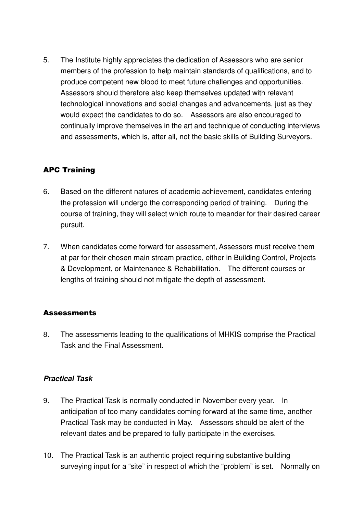5. The Institute highly appreciates the dedication of Assessors who are senior members of the profession to help maintain standards of qualifications, and to produce competent new blood to meet future challenges and opportunities. Assessors should therefore also keep themselves updated with relevant technological innovations and social changes and advancements, just as they would expect the candidates to do so. Assessors are also encouraged to continually improve themselves in the art and technique of conducting interviews and assessments, which is, after all, not the basic skills of Building Surveyors.

#### APC Training

- 6. Based on the different natures of academic achievement, candidates entering the profession will undergo the corresponding period of training. During the course of training, they will select which route to meander for their desired career pursuit.
- 7. When candidates come forward for assessment, Assessors must receive them at par for their chosen main stream practice, either in Building Control, Projects & Development, or Maintenance & Rehabilitation. The different courses or lengths of training should not mitigate the depth of assessment.

#### **Assessments**

8. The assessments leading to the qualifications of MHKIS comprise the Practical Task and the Final Assessment.

#### **Practical Task**

- 9. The Practical Task is normally conducted in November every year. In anticipation of too many candidates coming forward at the same time, another Practical Task may be conducted in May. Assessors should be alert of the relevant dates and be prepared to fully participate in the exercises.
- 10. The Practical Task is an authentic project requiring substantive building surveying input for a "site" in respect of which the "problem" is set. Normally on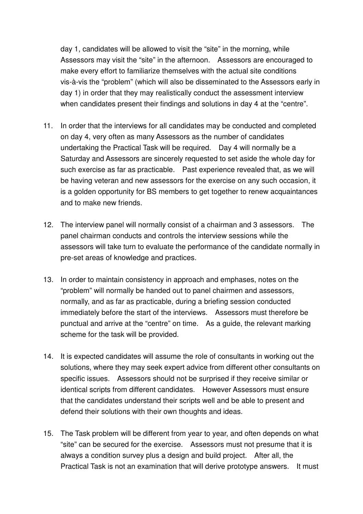day 1, candidates will be allowed to visit the "site" in the morning, while Assessors may visit the "site" in the afternoon. Assessors are encouraged to make every effort to familiarize themselves with the actual site conditions vis-à-vis the "problem" (which will also be disseminated to the Assessors early in day 1) in order that they may realistically conduct the assessment interview when candidates present their findings and solutions in day 4 at the "centre".

- 11. In order that the interviews for all candidates may be conducted and completed on day 4, very often as many Assessors as the number of candidates undertaking the Practical Task will be required. Day 4 will normally be a Saturday and Assessors are sincerely requested to set aside the whole day for such exercise as far as practicable. Past experience revealed that, as we will be having veteran and new assessors for the exercise on any such occasion, it is a golden opportunity for BS members to get together to renew acquaintances and to make new friends.
- 12. The interview panel will normally consist of a chairman and 3 assessors. The panel chairman conducts and controls the interview sessions while the assessors will take turn to evaluate the performance of the candidate normally in pre-set areas of knowledge and practices.
- 13. In order to maintain consistency in approach and emphases, notes on the "problem" will normally be handed out to panel chairmen and assessors, normally, and as far as practicable, during a briefing session conducted immediately before the start of the interviews. Assessors must therefore be punctual and arrive at the "centre" on time. As a guide, the relevant marking scheme for the task will be provided.
- 14. It is expected candidates will assume the role of consultants in working out the solutions, where they may seek expert advice from different other consultants on specific issues. Assessors should not be surprised if they receive similar or identical scripts from different candidates. However Assessors must ensure that the candidates understand their scripts well and be able to present and defend their solutions with their own thoughts and ideas.
- 15. The Task problem will be different from year to year, and often depends on what "site" can be secured for the exercise. Assessors must not presume that it is always a condition survey plus a design and build project. After all, the Practical Task is not an examination that will derive prototype answers. It must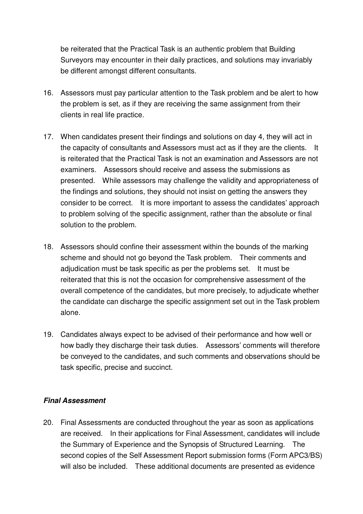be reiterated that the Practical Task is an authentic problem that Building Surveyors may encounter in their daily practices, and solutions may invariably be different amongst different consultants.

- 16. Assessors must pay particular attention to the Task problem and be alert to how the problem is set, as if they are receiving the same assignment from their clients in real life practice.
- 17. When candidates present their findings and solutions on day 4, they will act in the capacity of consultants and Assessors must act as if they are the clients. It is reiterated that the Practical Task is not an examination and Assessors are not examiners. Assessors should receive and assess the submissions as presented. While assessors may challenge the validity and appropriateness of the findings and solutions, they should not insist on getting the answers they consider to be correct. It is more important to assess the candidates' approach to problem solving of the specific assignment, rather than the absolute or final solution to the problem.
- 18. Assessors should confine their assessment within the bounds of the marking scheme and should not go beyond the Task problem. Their comments and adjudication must be task specific as per the problems set. It must be reiterated that this is not the occasion for comprehensive assessment of the overall competence of the candidates, but more precisely, to adjudicate whether the candidate can discharge the specific assignment set out in the Task problem alone.
- 19. Candidates always expect to be advised of their performance and how well or how badly they discharge their task duties. Assessors' comments will therefore be conveyed to the candidates, and such comments and observations should be task specific, precise and succinct.

#### **Final Assessment**

20. Final Assessments are conducted throughout the year as soon as applications are received. In their applications for Final Assessment, candidates will include the Summary of Experience and the Synopsis of Structured Learning. The second copies of the Self Assessment Report submission forms (Form APC3/BS) will also be included. These additional documents are presented as evidence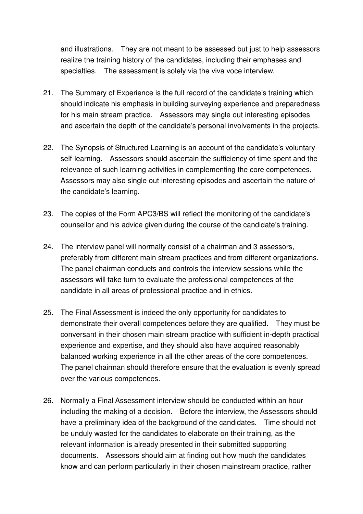and illustrations. They are not meant to be assessed but just to help assessors realize the training history of the candidates, including their emphases and specialties. The assessment is solely via the viva voce interview.

- 21. The Summary of Experience is the full record of the candidate's training which should indicate his emphasis in building surveying experience and preparedness for his main stream practice. Assessors may single out interesting episodes and ascertain the depth of the candidate's personal involvements in the projects.
- 22. The Synopsis of Structured Learning is an account of the candidate's voluntary self-learning. Assessors should ascertain the sufficiency of time spent and the relevance of such learning activities in complementing the core competences. Assessors may also single out interesting episodes and ascertain the nature of the candidate's learning.
- 23. The copies of the Form APC3/BS will reflect the monitoring of the candidate's counsellor and his advice given during the course of the candidate's training.
- 24. The interview panel will normally consist of a chairman and 3 assessors, preferably from different main stream practices and from different organizations. The panel chairman conducts and controls the interview sessions while the assessors will take turn to evaluate the professional competences of the candidate in all areas of professional practice and in ethics.
- 25. The Final Assessment is indeed the only opportunity for candidates to demonstrate their overall competences before they are qualified. They must be conversant in their chosen main stream practice with sufficient in-depth practical experience and expertise, and they should also have acquired reasonably balanced working experience in all the other areas of the core competences. The panel chairman should therefore ensure that the evaluation is evenly spread over the various competences.
- 26. Normally a Final Assessment interview should be conducted within an hour including the making of a decision. Before the interview, the Assessors should have a preliminary idea of the background of the candidates. Time should not be unduly wasted for the candidates to elaborate on their training, as the relevant information is already presented in their submitted supporting documents. Assessors should aim at finding out how much the candidates know and can perform particularly in their chosen mainstream practice, rather